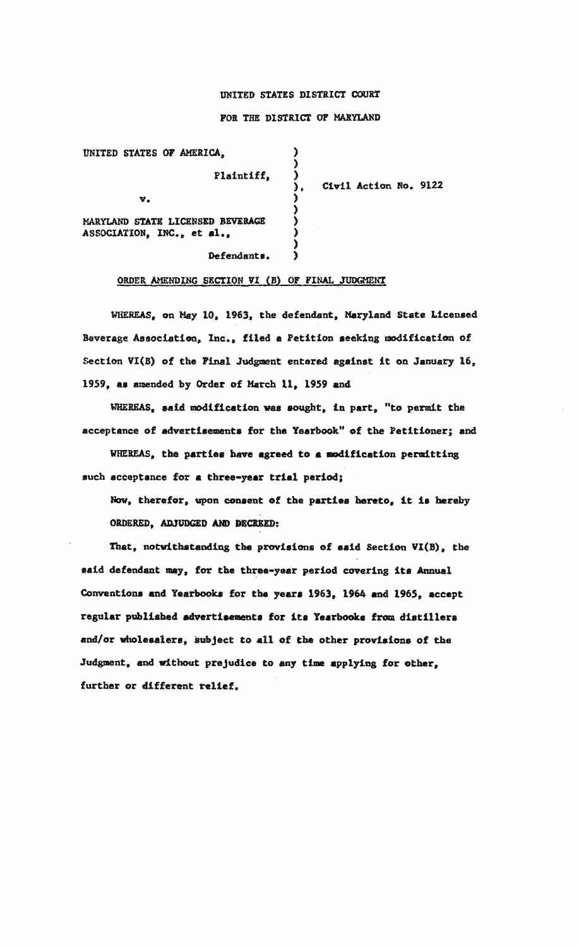## UNITED STATES DISTRICT COURT

## FOR THE DISTRICT OF MARYLAND

) ) )

) )

 $\lambda$ 

I

》

UNITED STATES OF AMERICA, Plaintiff, v. MARYLAND STATE LICENSED BEVERAGE ASSOCIATION, INC., et al.,

Civil Action No. 9122

Defendants,  $\lambda$ 

## ORDER AMENDING SECTION VI (B) OF FINAL JUDGMENT

WHEREAS, on May 10. 1963, the defendant, Maryland **State** Licensed Beverage Association, Inc., filed a Petition seeking modification of Section VI(B) of the Final Judgment entered against it on January 16, 1959, as amended by Order of March 11, 1959 and

WHEREAS, said modification was sought, in part, "to permit the acceptance of advertisements for the Yearbook" of the Petitioner; and

WHEREAS, the parties have agreed to a modification permitting such acceptance for a three-year trial period;

Now. therefor, upon consent of the parties hereto, it is hereby ORDERED., ADJUDGED AND DECREED:

That, notwithstanding the provisions of said Section VI(B), the said defendant may, for the three-year period covering its Annual Conventions and Yearbooks for the years 1963, 1964 and 1965, accept regular published advertisements for its Yearbooks from distillers and/or wholesalers, subject to all of the other provisions of the Judgment. and without prejudice to any time applying for other, further or different relief.